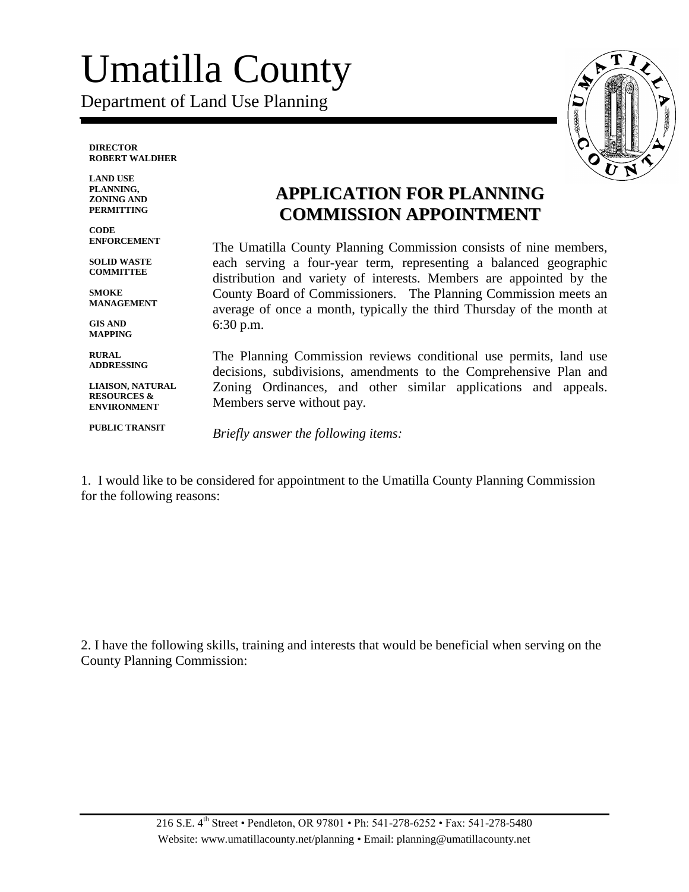## Umatilla County

Department of Land Use Planning

**DIRECTOR ROBERT WALDHER**

**LAND USE PLANNING, ZONING AND PERMITTING**

**CODE ENFORCEMENT**

**SOLID WASTE COMMITTEE**

**SMOKE MANAGEMENT**

**GIS AND MAPPING**

**RURAL ADDRESSING**

**LIAISON, NATURAL RESOURCES & ENVIRONMENT**

**PUBLIC TRANSIT**

## **APPLICATION FOR PLANNING COMMISSION APPOINTMENT**

The Umatilla County Planning Commission consists of nine members, each serving a four-year term, representing a balanced geographic distribution and variety of interests. Members are appointed by the County Board of Commissioners. The Planning Commission meets an average of once a month, typically the third Thursday of the month at 6:30 p.m.

The Planning Commission reviews conditional use permits, land use decisions, subdivisions, amendments to the Comprehensive Plan and Zoning Ordinances, and other similar applications and appeals. Members serve without pay.

*Briefly answer the following items:* 

1. I would like to be considered for appointment to the Umatilla County Planning Commission for the following reasons:

2. I have the following skills, training and interests that would be beneficial when serving on the County Planning Commission: